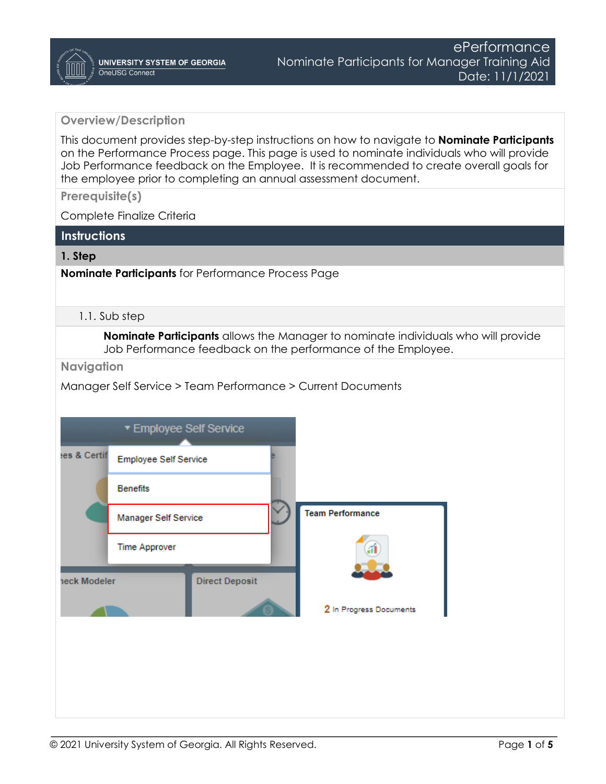## **Overview/Description**

This document provides step-by-step instructions on how to navigate to **Nominate Participants**  on the Performance Process page. This page is used to nominate individuals who will provide Job Performance feedback on the Employee. It is recommended to create overall goals for the employee prior to completing an annual assessment document.

**Prerequisite(s)**

Complete Finalize Criteria

### **Instructions**

### **1. Step**

**Nominate Participants** for Performance Process Page

#### 1.1. Sub step

**Nominate Participants** allows the Manager to nominate individuals who will provide Job Performance feedback on the performance of the Employee.

**Navigation**

Manager Self Service > Team Performance > Current Documents

|              | ▼ Employee Self Service      |                       |                         |
|--------------|------------------------------|-----------------------|-------------------------|
| es & Certif  | <b>Employee Self Service</b> |                       |                         |
|              | <b>Benefits</b>              |                       |                         |
|              | Manager Self Service         |                       | <b>Team Performance</b> |
|              | <b>Time Approver</b>         |                       |                         |
| heck Modeler |                              | <b>Direct Deposit</b> |                         |
|              |                              |                       | 2 In Progress Documents |
|              |                              |                       |                         |
|              |                              |                       |                         |
|              |                              |                       |                         |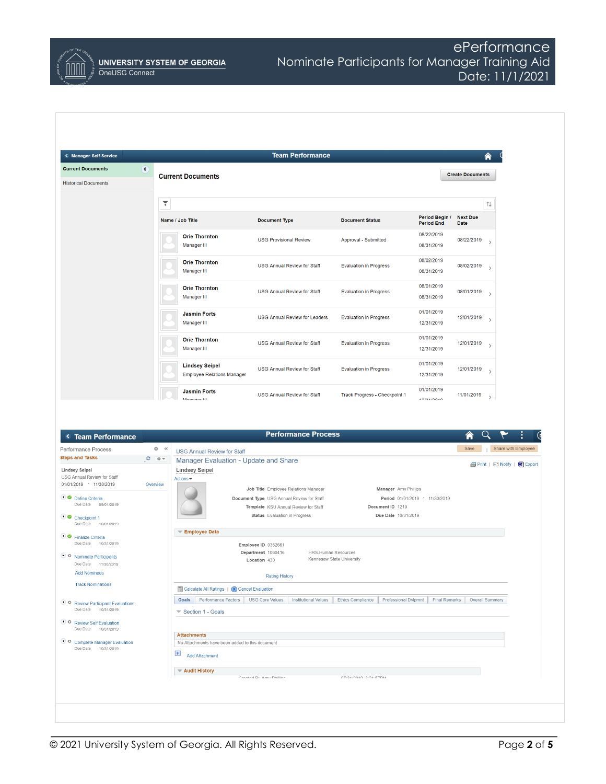

# ePerformance Nominate Participants for Manager Training Aid Date: 11/1/2021

| < Manager Self Service                                                                                                                                              |                         |                                                                       | <b>Team Performance</b>                                                           |                                           |                                 |                         |                                      |
|---------------------------------------------------------------------------------------------------------------------------------------------------------------------|-------------------------|-----------------------------------------------------------------------|-----------------------------------------------------------------------------------|-------------------------------------------|---------------------------------|-------------------------|--------------------------------------|
| <b>Current Documents</b>                                                                                                                                            | $\bullet$               |                                                                       |                                                                                   |                                           |                                 | <b>Create Documents</b> |                                      |
| <b>Historical Documents</b>                                                                                                                                         |                         | <b>Current Documents</b>                                              |                                                                                   |                                           |                                 |                         |                                      |
|                                                                                                                                                                     | ۳                       |                                                                       |                                                                                   |                                           |                                 |                         | $\uparrow\downarrow$                 |
|                                                                                                                                                                     |                         | Name / Job Title                                                      | <b>Document Type</b>                                                              | <b>Document Status</b>                    | Period Begin /                  | <b>Next Due</b>         |                                      |
|                                                                                                                                                                     |                         | <b>Orie Thornton</b>                                                  |                                                                                   |                                           | <b>Period End</b><br>08/22/2019 | Date                    |                                      |
|                                                                                                                                                                     |                         | Manager III                                                           | <b>USG Provisional Review</b>                                                     | Approval - Submitted                      | 08/31/2019                      | 08/22/2019              | $\rightarrow$                        |
|                                                                                                                                                                     |                         | <b>Orie Thornton</b><br>Manager III                                   | <b>USG Annual Review for Staff</b>                                                | <b>Evaluation in Progress</b>             | 08/02/2019<br>08/31/2019        | 08/02/2019              | $\rightarrow$                        |
|                                                                                                                                                                     |                         | <b>Orie Thornton</b><br>Manager III                                   | <b>USG Annual Review for Staff</b>                                                | <b>Evaluation in Progress</b>             | 08/01/2019<br>08/31/2019        | $08/01/2019$ >          |                                      |
|                                                                                                                                                                     |                         | <b>Jasmin Forts</b><br>Manager III                                    | <b>USG Annual Review for Leaders</b>                                              | <b>Evaluation in Progress</b>             | 01/01/2019<br>12/31/2019        | $12/01/2019$ >          |                                      |
|                                                                                                                                                                     |                         | <b>Orie Thornton</b><br>Manager III                                   | <b>USG Annual Review for Staff</b>                                                | <b>Evaluation in Progress</b>             | 01/01/2019<br>12/31/2019        | $12/01/2019$ >          |                                      |
|                                                                                                                                                                     |                         | <b>Lindsey Seipel</b><br><b>Employee Relations Manager</b>            | <b>USG Annual Review for Staff</b>                                                | <b>Evaluation in Progress</b>             | 01/01/2019<br>12/31/2019        | 12/01/2019              | $\rightarrow$                        |
|                                                                                                                                                                     |                         |                                                                       |                                                                                   |                                           |                                 |                         |                                      |
|                                                                                                                                                                     |                         | <b>Jasmin Forts</b><br>Monogor III                                    | <b>USG Annual Review for Staff</b>                                                | Track Progress - Checkpoint 1             | 01/01/2019<br><b>ADIOAIODAD</b> | 11/01/2019              | $\rightarrow$                        |
|                                                                                                                                                                     |                         |                                                                       |                                                                                   |                                           |                                 |                         |                                      |
|                                                                                                                                                                     |                         |                                                                       |                                                                                   |                                           |                                 |                         |                                      |
| <b>C</b> Team Performance                                                                                                                                           |                         |                                                                       | <b>Performance Process</b>                                                        |                                           |                                 |                         |                                      |
|                                                                                                                                                                     | $Q \times$<br>$C = 0 -$ | <b>USG Annual Review for Staff</b>                                    |                                                                                   |                                           |                                 | Save                    | Share with Employee                  |
|                                                                                                                                                                     |                         | Manager Evaluation - Update and Share<br><b>Lindsey Seipel</b>        |                                                                                   |                                           |                                 |                         | <b>图 Print</b>   ■ Notify   ■ Export |
|                                                                                                                                                                     | Overview                | Actions -                                                             |                                                                                   |                                           |                                 |                         |                                      |
|                                                                                                                                                                     |                         |                                                                       | Job Title Employee Relations Manager<br>Document Type USG Annual Review for Staff | Manager Amy Phillips                      | Period 01/01/2019 - 11/30/2019  |                         |                                      |
| Due Date<br>09/01/2019                                                                                                                                              |                         |                                                                       | Template KSU Annual Review for Staff                                              | Document ID 1219                          |                                 |                         |                                      |
| Due Date 10/01/2019                                                                                                                                                 |                         |                                                                       | Status Evaluation in Progress                                                     | Due Date 10/31/2019                       |                                 |                         |                                      |
| Performance Process<br><b>Steps and Tasks</b><br><b>Lindsey Seipel</b><br>USG Annual Review for Staff<br>01/01/2019 - 11/30/2019<br>Define Criteria<br>Checkpoint 1 |                         | Employee Data                                                         |                                                                                   |                                           |                                 |                         |                                      |
| Due Date 10/31/2019                                                                                                                                                 |                         |                                                                       | Employee ID 0352681                                                               |                                           |                                 |                         |                                      |
| Due Date 11/30/2019                                                                                                                                                 |                         |                                                                       | Department 1060416<br>HRS-Human Resources<br>Location 430                         | Kennesaw State University                 |                                 |                         |                                      |
| <b>Add Nominees</b>                                                                                                                                                 |                         |                                                                       | <b>Rating History</b>                                                             |                                           |                                 |                         |                                      |
| <b>Track Nominations</b>                                                                                                                                            |                         | Calculate All Ratings   (x) Cancel Evaluation                         |                                                                                   |                                           |                                 |                         |                                      |
|                                                                                                                                                                     |                         | Goals Performance Factors                                             | <b>USG Core Values</b><br><b>Institutional Values</b>                             | Ethics Compliance<br>Professional Dvlpmnt | <b>Final Remarks</b>            |                         | Overall Summary                      |
| Due Date 10/31/2019                                                                                                                                                 |                         | Section 1 - Goals                                                     |                                                                                   |                                           |                                 |                         |                                      |
| Due Date 10/31/2019                                                                                                                                                 |                         |                                                                       |                                                                                   |                                           |                                 |                         |                                      |
| Due Date 10/31/2019                                                                                                                                                 |                         | <b>Attachments</b><br>No Attachments have been added to this document |                                                                                   |                                           |                                 |                         |                                      |
| ● Finalize Criteria<br>O Nominate Participants<br>• O Review Participant Evaluations<br>O Review Self Evaluation<br>O Complete Manager Evaluation                   |                         | $\overline{+}$ Add Attachment                                         |                                                                                   |                                           |                                 |                         |                                      |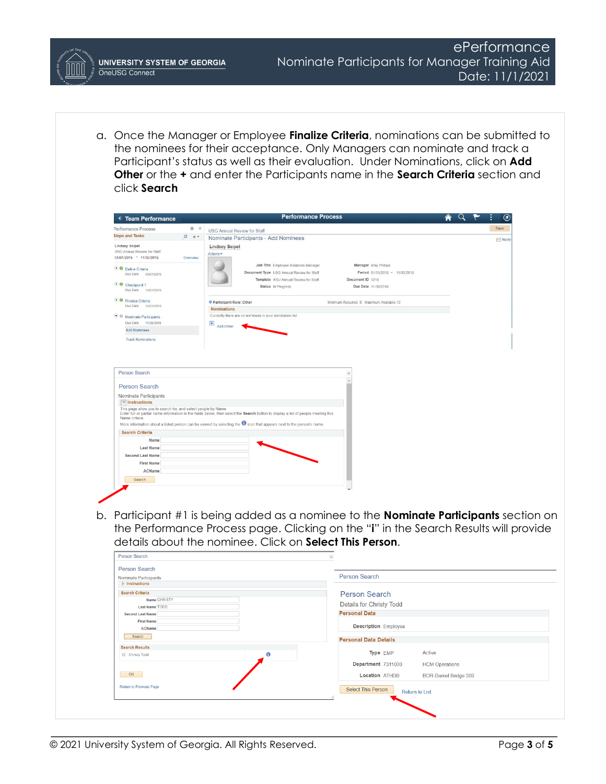**UNIVERSITY SYSTEM OF GEORGIA** OneUSG Connect

a. Once the Manager or Employee **Finalize Criteria**, nominations can be submitted to the nominees for their acceptance. Only Managers can nominate and track a Participant's status as well as their evaluation. Under Nominations, click on **Add Other** or the **+** and enter the Participants name in the **Search Criteria** section and click **Search**

|                                                               |            |                                    | <b>Performance Process</b>                                                                                                         |                                                                                              |                              |  | $\bm{\sigma}$         |  |
|---------------------------------------------------------------|------------|------------------------------------|------------------------------------------------------------------------------------------------------------------------------------|----------------------------------------------------------------------------------------------|------------------------------|--|-----------------------|--|
| Performance Process                                           | $0 \times$ | <b>USG Annual Review for Staff</b> |                                                                                                                                    |                                                                                              |                              |  | Save                  |  |
| <b>Steps and Tasks</b>                                        | $O$ $O$ v  |                                    | Nominate Participants - Add Nominees                                                                                               |                                                                                              |                              |  | E <sup>*</sup> Notify |  |
| <b>Lindsey Seipel</b><br>USG Annual Review for Staff          |            | <b>Lindsey Seipel</b>              |                                                                                                                                    |                                                                                              |                              |  |                       |  |
| 01/01/2019 - 11/30/2019                                       | Overview   | Actions +                          |                                                                                                                                    |                                                                                              |                              |  |                       |  |
|                                                               |            |                                    | Job Title Employee Relations Manager                                                                                               | Manager Amy Phillips                                                                         |                              |  |                       |  |
| Define Criteria<br>Due Date 09/01/2019                        |            |                                    | Document Type USG Annual Review for Staff                                                                                          | Period 01/01/2019 - 11/30/2019                                                               |                              |  |                       |  |
|                                                               |            |                                    | Template KSU Annual Review for Staff                                                                                               | Document ID 1219                                                                             |                              |  |                       |  |
| • Checkpoint 1<br>Due Date<br>10/01/2019                      |            |                                    | Status In Progress                                                                                                                 | Due Date 11/30/2019                                                                          |                              |  |                       |  |
|                                                               |            |                                    |                                                                                                                                    |                                                                                              |                              |  |                       |  |
| · <i>C</i> Finalize Criteria<br>Due Date<br>10/31/2019        |            | Participant Role: Other            |                                                                                                                                    | Minimum Required: 0 Maximum Available: 10                                                    |                              |  |                       |  |
|                                                               |            | <b>Nominations</b>                 | Currently there are no nominees in your nomination list                                                                            |                                                                                              |                              |  |                       |  |
| • O Nominate Participants<br>Due Date 11/30/2019              |            |                                    |                                                                                                                                    |                                                                                              |                              |  |                       |  |
| <b>Add Nominees</b>                                           |            | $\overline{+}$<br>Add Other        |                                                                                                                                    |                                                                                              |                              |  |                       |  |
| <b>Track Nominations</b>                                      |            |                                    |                                                                                                                                    |                                                                                              |                              |  |                       |  |
|                                                               |            |                                    |                                                                                                                                    |                                                                                              |                              |  |                       |  |
|                                                               |            |                                    |                                                                                                                                    |                                                                                              |                              |  |                       |  |
|                                                               |            |                                    |                                                                                                                                    |                                                                                              |                              |  |                       |  |
|                                                               |            |                                    |                                                                                                                                    |                                                                                              |                              |  |                       |  |
| <b>Person Search</b>                                          |            |                                    |                                                                                                                                    |                                                                                              |                              |  |                       |  |
| Person Search                                                 |            |                                    |                                                                                                                                    |                                                                                              |                              |  |                       |  |
|                                                               |            |                                    |                                                                                                                                    |                                                                                              |                              |  |                       |  |
| Nominate Participants<br>$\sqrt{\frac{1}{2}}$ Instructions    |            |                                    |                                                                                                                                    |                                                                                              |                              |  |                       |  |
| This page allow you to search for, and select people by Name. |            |                                    |                                                                                                                                    |                                                                                              |                              |  |                       |  |
| Name criteria.                                                |            |                                    | Enter full or partial name information in the fields below, then select the Search button to display a list of people meeting this |                                                                                              |                              |  |                       |  |
|                                                               |            |                                    | More information about a listed person can be viewed by selecting the <sup>1</sup> icon that appears next to the person's name.    |                                                                                              |                              |  |                       |  |
| <b>Search Criteria</b>                                        |            |                                    |                                                                                                                                    |                                                                                              |                              |  |                       |  |
| Name                                                          |            |                                    |                                                                                                                                    |                                                                                              |                              |  |                       |  |
| Last Name                                                     |            |                                    |                                                                                                                                    |                                                                                              |                              |  |                       |  |
|                                                               |            |                                    |                                                                                                                                    |                                                                                              |                              |  |                       |  |
| Second Last Name                                              |            |                                    |                                                                                                                                    |                                                                                              |                              |  |                       |  |
| <b>First Name</b>                                             |            |                                    |                                                                                                                                    |                                                                                              |                              |  |                       |  |
| ACName                                                        |            |                                    |                                                                                                                                    |                                                                                              |                              |  |                       |  |
| Search                                                        |            |                                    |                                                                                                                                    |                                                                                              |                              |  |                       |  |
|                                                               |            |                                    |                                                                                                                                    |                                                                                              |                              |  |                       |  |
|                                                               |            |                                    |                                                                                                                                    |                                                                                              |                              |  |                       |  |
|                                                               |            |                                    |                                                                                                                                    |                                                                                              |                              |  |                       |  |
|                                                               |            |                                    |                                                                                                                                    |                                                                                              |                              |  |                       |  |
|                                                               |            |                                    |                                                                                                                                    | b. Participant #1 is being added as a nominee to the <b>Nominate Participants</b> section on |                              |  |                       |  |
|                                                               |            |                                    |                                                                                                                                    |                                                                                              |                              |  |                       |  |
|                                                               |            |                                    |                                                                                                                                    | the Performance Process page. Clicking on the "i" in the Search Results will provide         |                              |  |                       |  |
|                                                               |            |                                    |                                                                                                                                    |                                                                                              |                              |  |                       |  |
|                                                               |            |                                    |                                                                                                                                    | details about the nominee. Click on Select This Person.                                      |                              |  |                       |  |
| Person Search                                                 |            |                                    |                                                                                                                                    |                                                                                              |                              |  |                       |  |
|                                                               |            |                                    |                                                                                                                                    |                                                                                              |                              |  |                       |  |
| <b>Person Search</b>                                          |            |                                    |                                                                                                                                    |                                                                                              |                              |  |                       |  |
| Nominate Participants                                         |            |                                    |                                                                                                                                    | <b>Person Search</b>                                                                         |                              |  |                       |  |
| $\triangleright$ Instructions                                 |            |                                    |                                                                                                                                    |                                                                                              |                              |  |                       |  |
| <b>Search Criteria</b>                                        |            |                                    |                                                                                                                                    | <b>Person Search</b>                                                                         |                              |  |                       |  |
| Name CHRISTY<br><b>Last Name TODD</b>                         |            |                                    |                                                                                                                                    | <b>Details for Christy Todd</b>                                                              |                              |  |                       |  |
| <b>Second Last Name</b>                                       |            |                                    |                                                                                                                                    | <b>Personal Data</b>                                                                         |                              |  |                       |  |
| <b>First Name</b>                                             |            |                                    |                                                                                                                                    |                                                                                              |                              |  |                       |  |
| <b>ACName</b>                                                 |            |                                    |                                                                                                                                    | <b>Description</b> Employee                                                                  |                              |  |                       |  |
| Search                                                        |            |                                    |                                                                                                                                    |                                                                                              |                              |  |                       |  |
|                                                               |            |                                    |                                                                                                                                    | <b>Personal Data Details</b>                                                                 |                              |  |                       |  |
| <b>Search Results</b>                                         |            |                                    | A                                                                                                                                  | Type EMP                                                                                     | <b>Active</b>                |  |                       |  |
| Christy Todd                                                  |            |                                    |                                                                                                                                    |                                                                                              |                              |  |                       |  |
|                                                               |            |                                    |                                                                                                                                    | Department 7311000                                                                           | <b>HCM Operations</b>        |  |                       |  |
| OK                                                            |            |                                    |                                                                                                                                    | <b>Location ATHDB</b>                                                                        | <b>BOR-Daniel Bridge 300</b> |  |                       |  |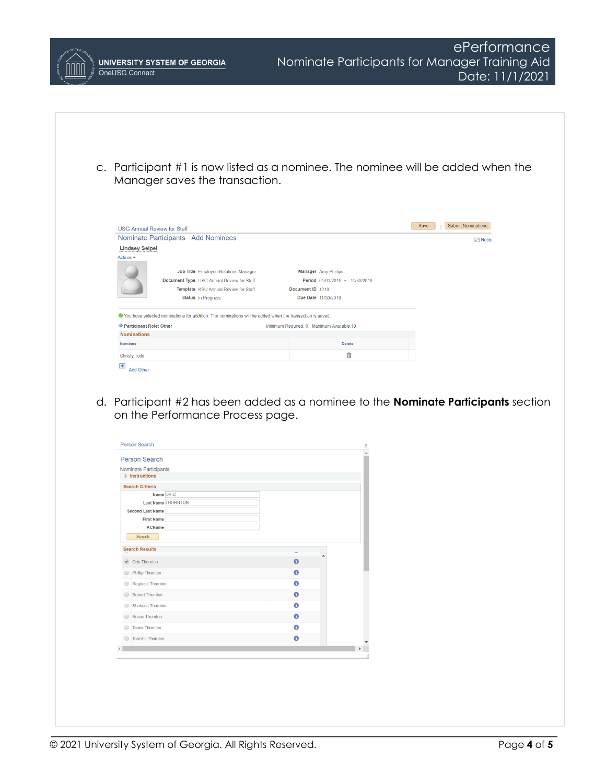

|        | Person Search                                               |             |  |
|--------|-------------------------------------------------------------|-------------|--|
|        | Nominate Participants<br>$\blacktriangleright$ Instructions |             |  |
|        | <b>Search Criteria</b>                                      |             |  |
|        | Name ORIE                                                   |             |  |
|        | Last Name THORNTON                                          |             |  |
|        | Second Last Name                                            |             |  |
|        | First Name<br>ACName                                        |             |  |
|        | Search                                                      |             |  |
|        |                                                             |             |  |
|        | <b>Search Results</b>                                       |             |  |
|        | ● Orie Thornton                                             | $\theta$    |  |
| $\Box$ | Phillip Thornton                                            | $\mathbf 6$ |  |
| 0      | Reginald Thornton                                           | 0           |  |
| □      | Robert Thornton                                             | $\bullet$   |  |
| ⊟      | Shakena Thornton                                            | 0           |  |
| o      | Susan Thornton                                              | 0           |  |
| ⊟      | Tamia Thornton                                              | 0           |  |
|        | Tanisha Thornton                                            | 0           |  |
|        |                                                             |             |  |

ePerformance